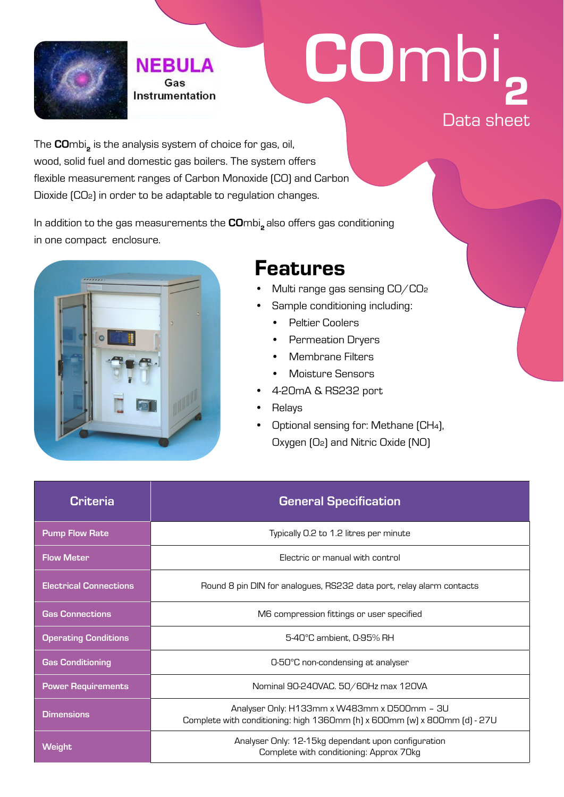

## COmbi, Data sheet

The COmbi, is the analysis system of choice for gas, oil, wood, solid fuel and domestic gas boilers. The system offers flexible measurement ranges of Carbon Monoxide (CO) and Carbon Dioxide (CO2) in order to be adaptable to regulation changes.

**NEBULA** Gas Instrumentation

In addition to the gas measurements the COmbi<sub>2</sub> also offers gas conditioning in one compact enclosure.



## Features

- Multi range gas sensing CO/CO₂
- Sample conditioning including:
	- Peltier Coolers
	- Permeation Dryers
	- Membrane Filters
	- Moisture Sensors
- 4-20mA & RS232 port
- **Relays**
- Optional sensing for: Methane [CH4], Oxygen (O2) and Nitric Oxide (NO)

| Criteria                      | <b>General Specification</b>                                                                                              |  |  |
|-------------------------------|---------------------------------------------------------------------------------------------------------------------------|--|--|
| <b>Pump Flow Rate</b>         | Typically 0.2 to 1.2 litres per minute                                                                                    |  |  |
| <b>Flow Meter</b>             | Electric or manual with control                                                                                           |  |  |
| <b>Electrical Connections</b> | Round 8 pin DIN for analogues, RS232 data port, relay alarm contacts                                                      |  |  |
| <b>Gas Connections</b>        | M6 compression fittings or user specified                                                                                 |  |  |
| <b>Operating Conditions</b>   | 5-40°C ambient. 0-95% RH                                                                                                  |  |  |
| <b>Gas Conditioning</b>       | 0-50°C non-condensing at analyser                                                                                         |  |  |
| <b>Power Requirements</b>     | Nominal 90-240VAC. 50/60Hz max 120VA                                                                                      |  |  |
| <b>Dimensions</b>             | Analyser Only: H133mm x W483mm x D500mm - 3U<br>Complete with conditioning: high 1360mm [h] x 600mm [w] x 800mm [d] - 27U |  |  |
| <b>Weight</b>                 | Analyser Only: 12-15kg dependant upon configuration<br>Complete with conditioning: Approx 70kg                            |  |  |